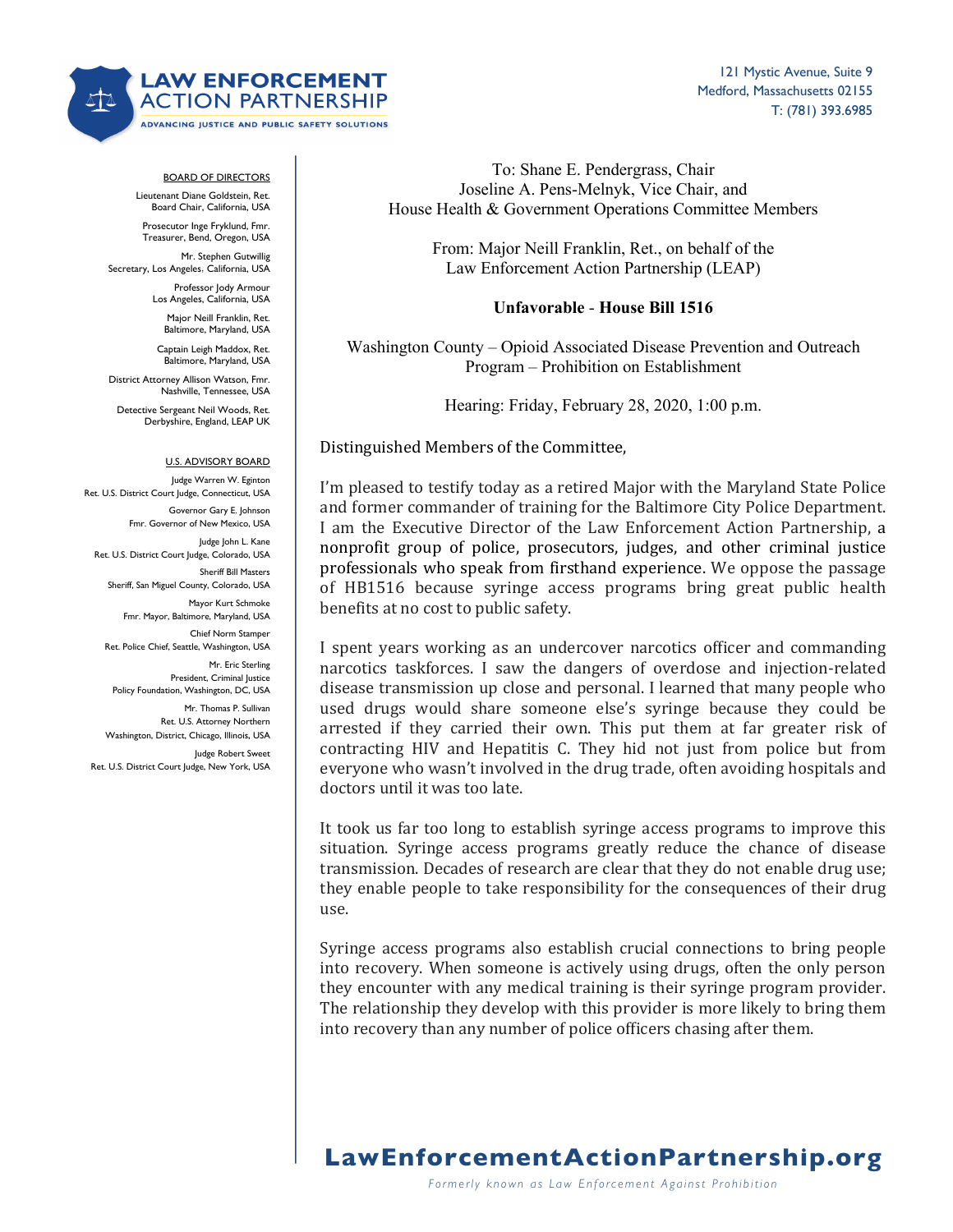

## BOARD OF DIRECTORS

Lieutenant Diane Goldstein, Ret. Board Chair, California, USA

Prosecutor Inge Fryklund, Fmr. Treasurer, Bend, Oregon, USA

Mr. Stephen Gutwillig Secretary, Los Angeles, California, USA

Professor Jody Armour Los Angeles, California, USA

Major Neill Franklin, Ret. Baltimore, Maryland, USA

Captain Leigh Maddox, Ret. Baltimore, Maryland, USA

District Attorney Allison Watson, Fmr. Nashville, Tennessee, USA

Detective Sergeant Neil Woods, Ret. Derbyshire, England, LEAP UK

#### U.S. ADVISORY BOARD

Judge Warren W. Eginton Ret. U.S. District Court Judge, Connecticut, USA Governor Gary E. Johnson Fmr. Governor of New Mexico, USA Judge John L. Kane Ret. U.S. District Court Judge, Colorado, USA Sheriff Bill Masters Sheriff, San Miguel County, Colorado, USA Mayor Kurt Schmoke Fmr. Mayor, Baltimore, Maryland, USA Chief Norm Stamper Ret. Police Chief, Seattle, Washington, USA Mr. Eric Sterling President, Criminal Justice Policy Foundation, Washington, DC, USA Mr. Thomas P. Sullivan

Ret. U.S. Attorney Northern Washington, District, Chicago, Illinois, USA

Judge Robert Sweet Ret. U.S. District Court Judge, New York, USA

To: Shane E. Pendergrass, Chair Joseline A. Pens-Melnyk, Vice Chair, and House Health & Government Operations Committee Members

> From: Major Neill Franklin, Ret., on behalf of the Law Enforcement Action Partnership (LEAP)

### **Unfavorable** - **House Bill 1516**

Washington County – Opioid Associated Disease Prevention and Outreach Program – Prohibition on Establishment

Hearing: Friday, February 28, 2020, 1:00 p.m.

### Distinguished Members of the Committee,

I'm pleased to testify today as a retired Major with the Maryland State Police and former commander of training for the Baltimore City Police Department. I am the Executive Director of the Law Enforcement Action Partnership, a nonprofit group of police, prosecutors, judges, and other criminal justice professionals who speak from firsthand experience. We oppose the passage of HB1516 because syringe access programs bring great public health benefits at no cost to public safety.

I spent years working as an undercover narcotics officer and commanding narcotics taskforces. I saw the dangers of overdose and injection-related disease transmission up close and personal. I learned that many people who used drugs would share someone else's syringe because they could be arrested if they carried their own. This put them at far greater risk of contracting HIV and Hepatitis C. They hid not just from police but from everyone who wasn't involved in the drug trade, often avoiding hospitals and doctors until it was too late.

It took us far too long to establish syringe access programs to improve this situation. Syringe access programs greatly reduce the chance of disease transmission. Decades of research are clear that they do not enable drug use; they enable people to take responsibility for the consequences of their drug use. 

Syringe access programs also establish crucial connections to bring people into recovery. When someone is actively using drugs, often the only person they encounter with any medical training is their syringe program provider. The relationship they develop with this provider is more likely to bring them into recovery than any number of police officers chasing after them.

# **LawEnforcementActionPartnership.org**